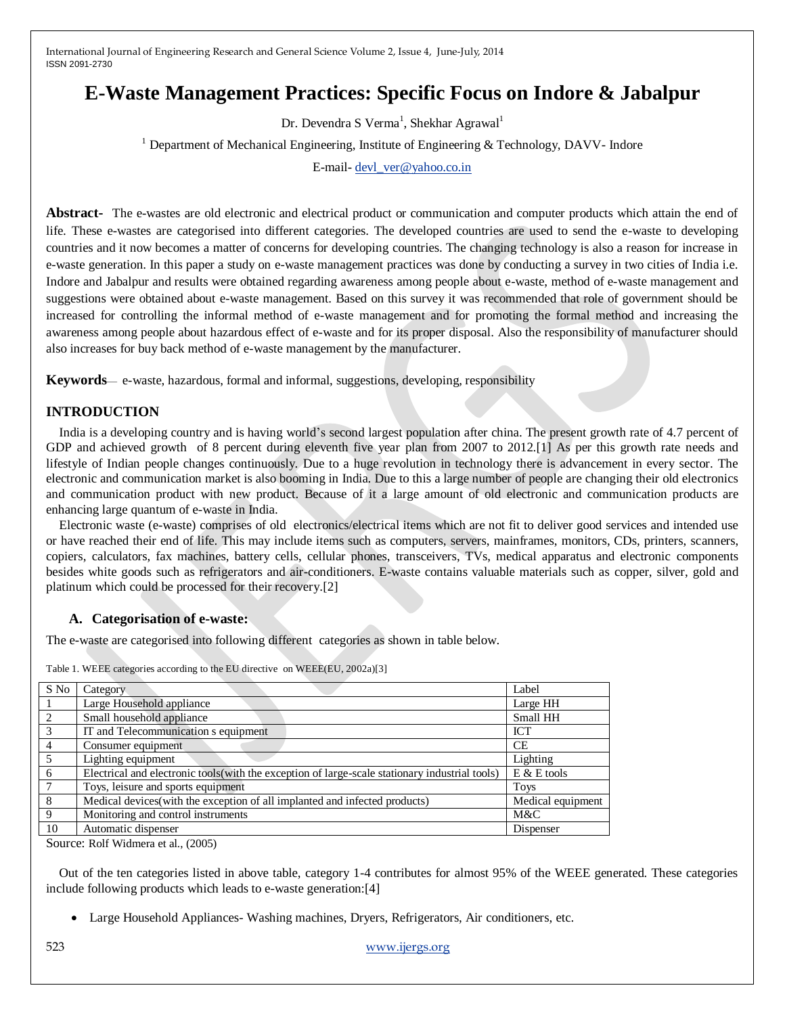# **E-Waste Management Practices: Specific Focus on Indore & Jabalpur**

Dr. Devendra S Verma<sup>1</sup>, Shekhar Agrawal<sup>1</sup>

<sup>1</sup> Department of Mechanical Engineering, Institute of Engineering & Technology, DAVV- Indore

E-mail- [devl\\_ver@yahoo.co.in](mailto:devl_ver@yahoo.co.in)

**Abstract-** The e-wastes are old electronic and electrical product or communication and computer products which attain the end of life. These e-wastes are categorised into different categories. The developed countries are used to send the e-waste to developing countries and it now becomes a matter of concerns for developing countries. The changing technology is also a reason for increase in e-waste generation. In this paper a study on e-waste management practices was done by conducting a survey in two cities of India i.e. Indore and Jabalpur and results were obtained regarding awareness among people about e-waste, method of e-waste management and suggestions were obtained about e-waste management. Based on this survey it was recommended that role of government should be increased for controlling the informal method of e-waste management and for promoting the formal method and increasing the awareness among people about hazardous effect of e-waste and for its proper disposal. Also the responsibility of manufacturer should also increases for buy back method of e-waste management by the manufacturer.

**Keywords**— e-waste, hazardous, formal and informal, suggestions, developing, responsibility

## **INTRODUCTION**

India is a developing country and is having world's second largest population after china. The present growth rate of 4.7 percent of GDP and achieved growth of 8 percent during eleventh five year plan from 2007 to 2012.[1] As per this growth rate needs and lifestyle of Indian people changes continuously. Due to a huge revolution in technology there is advancement in every sector. The electronic and communication market is also booming in India. Due to this a large number of people are changing their old electronics and communication product with new product. Because of it a large amount of old electronic and communication products are enhancing large quantum of e-waste in India.

Electronic waste (e-waste) comprises of old electronics/electrical items which are not fit to deliver good services and intended use or have reached their end of life. This may include items such as computers, servers, mainframes, monitors, CDs, printers, scanners, copiers, calculators, fax machines, battery cells, cellular phones, transceivers, TVs, medical apparatus and electronic components besides white goods such as refrigerators and air-conditioners. E-waste contains valuable materials such as copper, silver, gold and platinum which could be processed for their recovery.[2]

## **A. Categorisation of e-waste:**

The e-waste are categorised into following different categories as shown in table below.

| S No           | Category                                                                                        | Label             |
|----------------|-------------------------------------------------------------------------------------------------|-------------------|
|                | Large Household appliance                                                                       | Large HH          |
| $\mathcal{L}$  | Small household appliance                                                                       | Small HH          |
| $\overline{3}$ | IT and Telecommunication s equipment                                                            | <b>ICT</b>        |
| $\overline{4}$ | Consumer equipment                                                                              | <b>CE</b>         |
| $5^{\circ}$    | Lighting equipment                                                                              | Lighting          |
| - 6            | Electrical and electronic tools (with the exception of large-scale stationary industrial tools) | $E & E$ tools     |
| $\overline{7}$ | Toys, leisure and sports equipment                                                              | <b>Toys</b>       |
| - 8            | Medical devices (with the exception of all implanted and infected products)                     | Medical equipment |
| - 9            | Monitoring and control instruments                                                              | M&C               |
| 10             | Automatic dispenser                                                                             | Dispenser         |
|                |                                                                                                 |                   |

Table 1. WEEE categories according to the EU directive on WEEE(EU, 2002a)[3]

Source: Rolf Widmera et al., (2005)

Out of the ten categories listed in above table, category 1-4 contributes for almost 95% of the WEEE generated. These categories include following products which leads to e-waste generation:[4]

Large Household Appliances- Washing machines, Dryers, Refrigerators, Air conditioners, etc.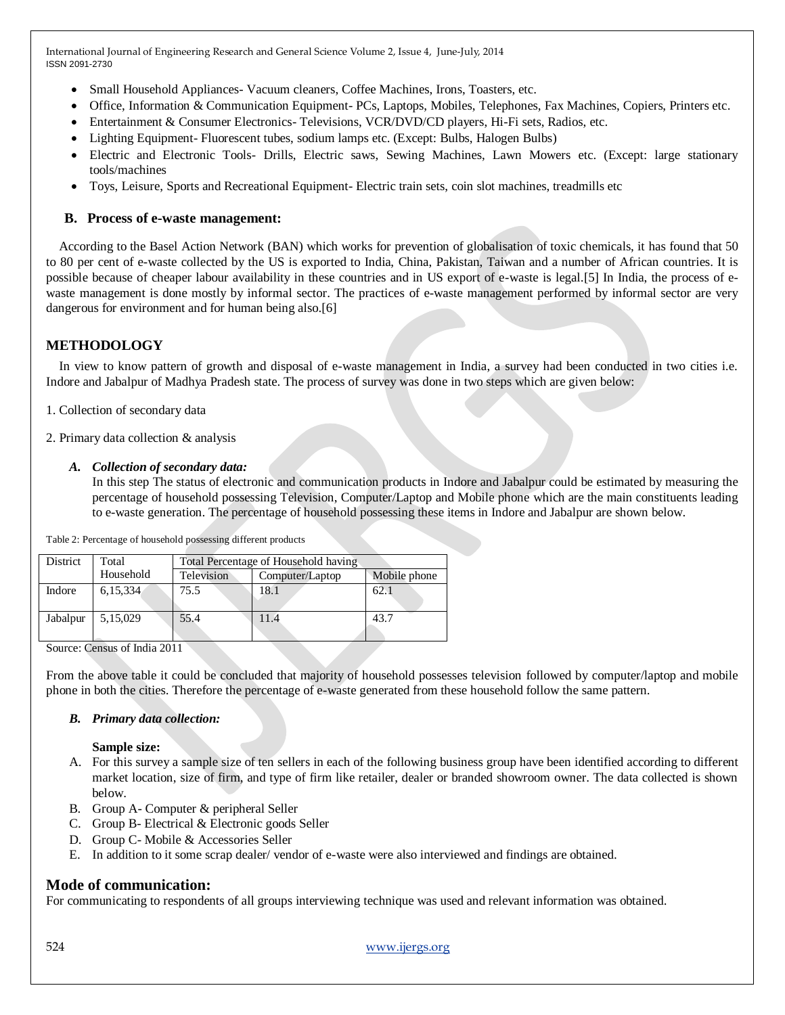- Small Household Appliances- Vacuum cleaners, Coffee Machines, Irons, Toasters, etc.
- Office, Information & Communication Equipment- PCs, Laptops, Mobiles, Telephones, Fax Machines, Copiers, Printers etc.
- Entertainment & Consumer Electronics- Televisions, VCR/DVD/CD players, Hi-Fi sets, Radios, etc.
- Lighting Equipment- Fluorescent tubes, sodium lamps etc. (Except: Bulbs, Halogen Bulbs)
- Electric and Electronic Tools- Drills, Electric saws, Sewing Machines, Lawn Mowers etc. (Except: large stationary tools/machines
- Toys, Leisure, Sports and Recreational Equipment- Electric train sets, coin slot machines, treadmills etc

#### **B. Process of e-waste management:**

According to the Basel Action Network (BAN) which works for prevention of globalisation of toxic chemicals, it has found that 50 to 80 per cent of e-waste collected by the US is exported to India, China, Pakistan, Taiwan and a number of African countries. It is possible because of cheaper labour availability in these countries and in US export of e-waste is legal.[5] In India, the process of ewaste management is done mostly by informal sector. The practices of e-waste management performed by informal sector are very dangerous for environment and for human being also.[6]

## **METHODOLOGY**

In view to know pattern of growth and disposal of e-waste management in India, a survey had been conducted in two cities i.e. Indore and Jabalpur of Madhya Pradesh state. The process of survey was done in two steps which are given below:

1. Collection of secondary data

- 2. Primary data collection & analysis
	- *A. Collection of secondary data:*

In this step The status of electronic and communication products in Indore and Jabalpur could be estimated by measuring the percentage of household possessing Television, Computer/Laptop and Mobile phone which are the main constituents leading to e-waste generation. The percentage of household possessing these items in Indore and Jabalpur are shown below.

Table 2: Percentage of household possessing different products

| District | Total     | Total Percentage of Household having |                                 |      |  |  |  |  |  |  |
|----------|-----------|--------------------------------------|---------------------------------|------|--|--|--|--|--|--|
|          | Household | Television                           | Mobile phone<br>Computer/Laptop |      |  |  |  |  |  |  |
| Indore   | 6,15,334  | 75.5                                 | 18.1                            | 62.1 |  |  |  |  |  |  |
| Jabalpur | 5,15,029  | 55.4                                 | 11.4                            | 43.7 |  |  |  |  |  |  |

Source: Census of India 2011

From the above table it could be concluded that majority of household possesses television followed by computer/laptop and mobile phone in both the cities. Therefore the percentage of e-waste generated from these household follow the same pattern.

#### *B. Primary data collection:*

**Sample size:**

- A. For this survey a sample size of ten sellers in each of the following business group have been identified according to different market location, size of firm, and type of firm like retailer, dealer or branded showroom owner. The data collected is shown below.
- B. Group A- Computer & peripheral Seller
- C. Group B- Electrical & Electronic goods Seller
- D. Group C- Mobile & Accessories Seller
- E. In addition to it some scrap dealer/ vendor of e-waste were also interviewed and findings are obtained.

## **Mode of communication:**

For communicating to respondents of all groups interviewing technique was used and relevant information was obtained.

524 [www.ijergs.org](http://www.ijergs.org/)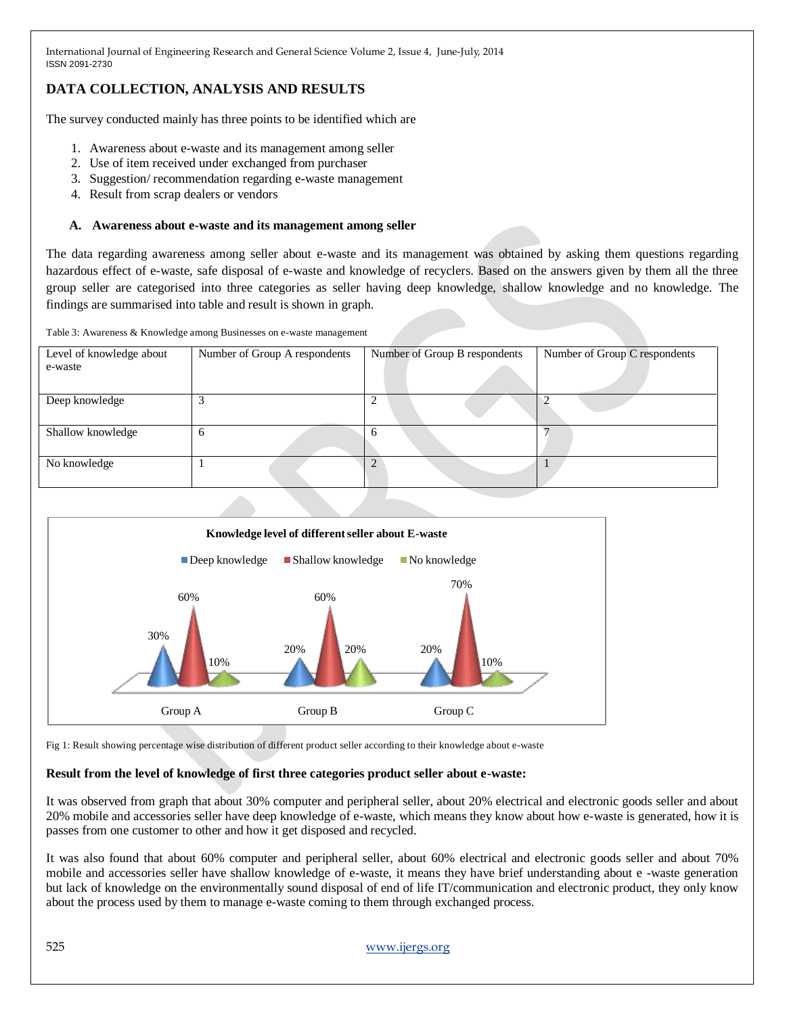## **DATA COLLECTION, ANALYSIS AND RESULTS**

The survey conducted mainly has three points to be identified which are

- 1. Awareness about e-waste and its management among seller
- 2. Use of item received under exchanged from purchaser
- 3. Suggestion/ recommendation regarding e-waste management
- 4. Result from scrap dealers or vendors

#### **A. Awareness about e-waste and its management among seller**

The data regarding awareness among seller about e-waste and its management was obtained by asking them questions regarding hazardous effect of e-waste, safe disposal of e-waste and knowledge of recyclers. Based on the answers given by them all the three group seller are categorised into three categories as seller having deep knowledge, shallow knowledge and no knowledge. The findings are summarised into table and result is shown in graph.

Table 3: Awareness & Knowledge among Businesses on e-waste management

| Level of knowledge about<br>e-waste | Number of Group A respondents | Number of Group B respondents | Number of Group C respondents |  |  |
|-------------------------------------|-------------------------------|-------------------------------|-------------------------------|--|--|
|                                     |                               |                               |                               |  |  |
| Deep knowledge                      | 3                             | ◠<br>∠                        |                               |  |  |
| Shallow knowledge                   | <sub>b</sub>                  | n                             |                               |  |  |
| No knowledge                        |                               |                               |                               |  |  |



Fig 1: Result showing percentage wise distribution of different product seller according to their knowledge about e-waste

#### **Result from the level of knowledge of first three categories product seller about e-waste:**

It was observed from graph that about 30% computer and peripheral seller, about 20% electrical and electronic goods seller and about 20% mobile and accessories seller have deep knowledge of e-waste, which means they know about how e-waste is generated, how it is passes from one customer to other and how it get disposed and recycled.

It was also found that about 60% computer and peripheral seller, about 60% electrical and electronic goods seller and about 70% mobile and accessories seller have shallow knowledge of e-waste, it means they have brief understanding about e -waste generation but lack of knowledge on the environmentally sound disposal of end of life IT/communication and electronic product, they only know about the process used by them to manage e-waste coming to them through exchanged process.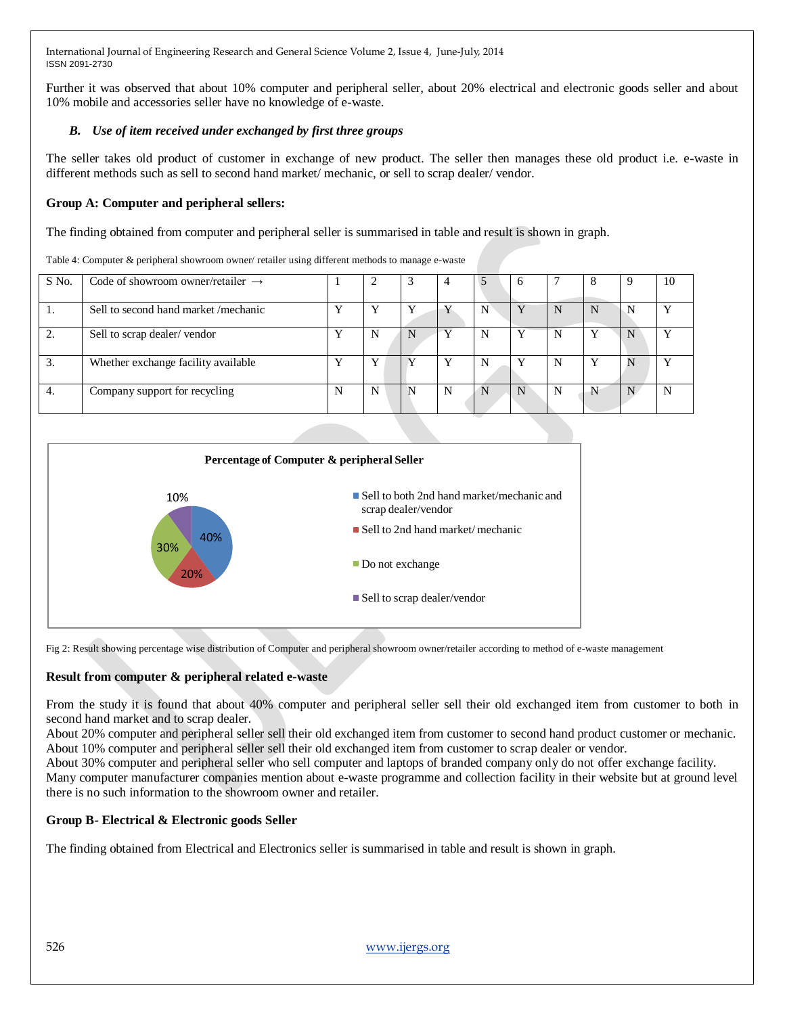Further it was observed that about 10% computer and peripheral seller, about 20% electrical and electronic goods seller and about 10% mobile and accessories seller have no knowledge of e-waste.

## *B. Use of item received under exchanged by first three groups*

The seller takes old product of customer in exchange of new product. The seller then manages these old product i.e. e-waste in different methods such as sell to second hand market/ mechanic, or sell to scrap dealer/ vendor.

## **Group A: Computer and peripheral sellers:**

The finding obtained from computer and peripheral seller is summarised in table and result is shown in graph.

| S No. | Code of showroom owner/retailer $\rightarrow$ |   |   | 3  | 4 |   | n |   | x |   | 10 |
|-------|-----------------------------------------------|---|---|----|---|---|---|---|---|---|----|
|       | Sell to second hand market/mechanic           | v |   | N. |   |   |   |   | N |   |    |
|       | Sell to scrap dealer/vendor                   |   | N | N  |   |   |   | N |   |   |    |
|       | Whether exchange facility available           |   | Y |    |   | N |   | N | Y | N |    |
| 4.    | Company support for recycling                 | N | N | N  | N |   |   | N |   |   |    |

Table 4: Computer & peripheral showroom owner/ retailer using different methods to manage e-waste



Fig 2: Result showing percentage wise distribution of Computer and peripheral showroom owner/retailer according to method of e-waste management

## **Result from computer & peripheral related e-waste**

From the study it is found that about 40% computer and peripheral seller sell their old exchanged item from customer to both in second hand market and to scrap dealer.

About 20% computer and peripheral seller sell their old exchanged item from customer to second hand product customer or mechanic. About 10% computer and peripheral seller sell their old exchanged item from customer to scrap dealer or vendor.

About 30% computer and peripheral seller who sell computer and laptops of branded company only do not offer exchange facility.

Many computer manufacturer companies mention about e-waste programme and collection facility in their website but at ground level there is no such information to the showroom owner and retailer.

## **Group B- Electrical & Electronic goods Seller**

The finding obtained from Electrical and Electronics seller is summarised in table and result is shown in graph.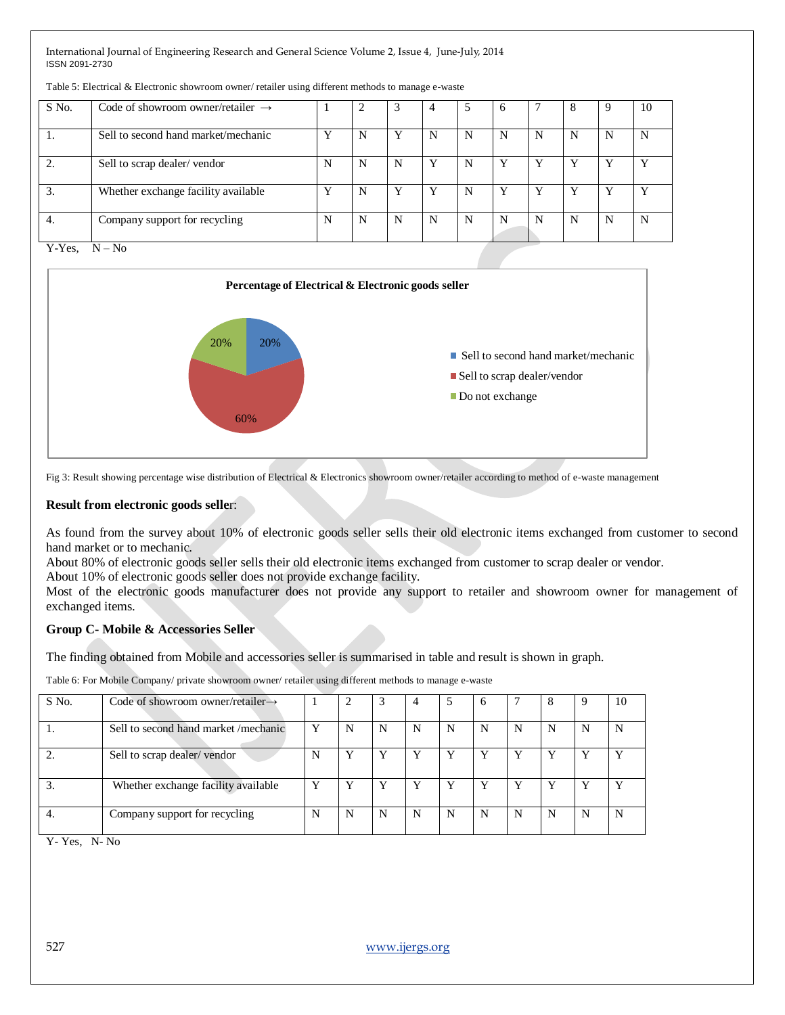| S No.              | Code of showroom owner/retailer $\rightarrow$ |   | ↑ | 3 | 4 | 5 | <sub>b</sub> |   | 8 |   | 10 |
|--------------------|-----------------------------------------------|---|---|---|---|---|--------------|---|---|---|----|
| .,                 | Sell to second hand market/mechanic           | v | N | Y | N | N | N            | N | N | N | N  |
|                    | Sell to scrap dealer/vendor                   | N | N | N | Y | N |              |   |   |   |    |
| 3.                 | Whether exchange facility available           | Y | N | Y | Y | N |              |   |   |   |    |
| 4.                 | Company support for recycling                 | N | N | N | N | N | N            | N | N | N | N  |
| Y-Yes.<br>$N - No$ |                                               |   |   |   |   |   |              |   |   |   |    |

Table 5: Electrical & Electronic showroom owner/ retailer using different methods to manage e-waste



Fig 3: Result showing percentage wise distribution of Electrical & Electronics showroom owner/retailer according to method of e-waste management

#### **Result from electronic goods selle**r:

As found from the survey about 10% of electronic goods seller sells their old electronic items exchanged from customer to second hand market or to mechanic.

About 80% of electronic goods seller sells their old electronic items exchanged from customer to scrap dealer or vendor.

About 10% of electronic goods seller does not provide exchange facility.

Most of the electronic goods manufacturer does not provide any support to retailer and showroom owner for management of exchanged items.

#### **Group C- Mobile & Accessories Seller**

The finding obtained from Mobile and accessories seller is summarised in table and result is shown in graph.

Table 6: For Mobile Company/ private showroom owner/ retailer using different methods to manage e-waste

| S No. | Code of showroom owner/retailer $\rightarrow$ |   |   |   | 4 | J | o |   |  | 10 |
|-------|-----------------------------------------------|---|---|---|---|---|---|---|--|----|
|       | Sell to second hand market /mechanic          | Y | N | N | N | N |   | N |  | N  |
|       | Sell to scrap dealer/vendor                   | N | v |   | Y |   |   |   |  | v  |
|       | Whether exchange facility available           | v | Y | Y | Y |   |   |   |  | v  |
| 4.    | Company support for recycling                 | N | N | N | N | N | N | N |  | N  |

Y- Yes, N- No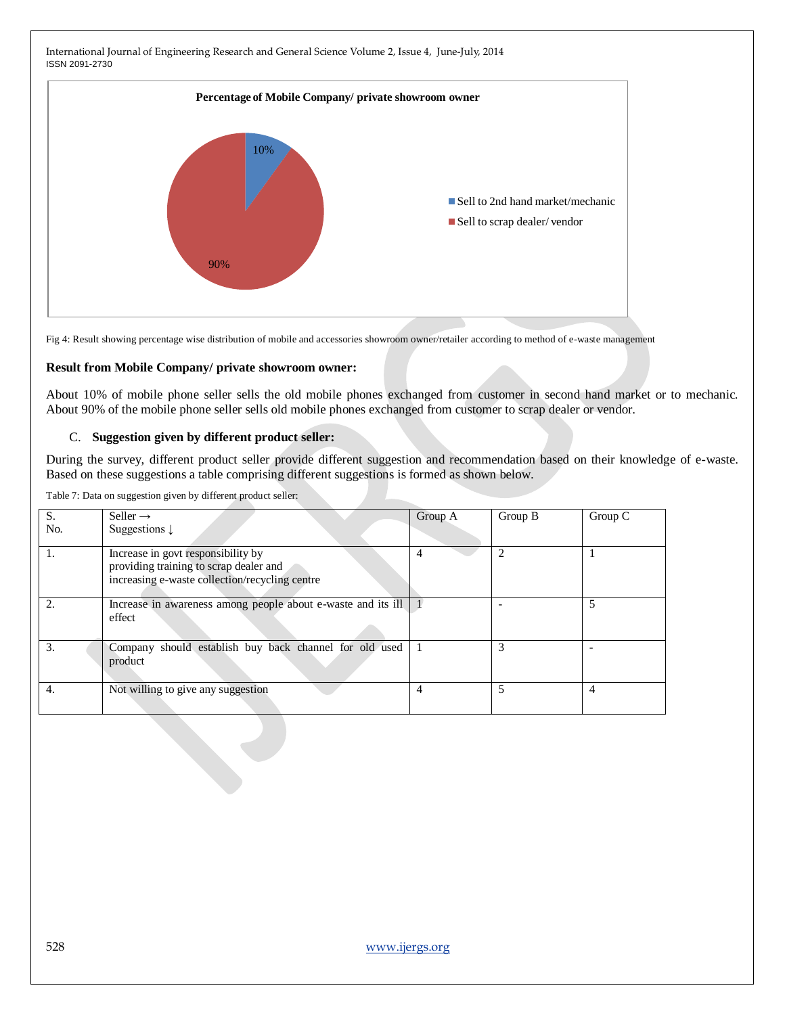

Fig 4: Result showing percentage wise distribution of mobile and accessories showroom owner/retailer according to method of e-waste management

#### **Result from Mobile Company/ private showroom owner:**

About 10% of mobile phone seller sells the old mobile phones exchanged from customer in second hand market or to mechanic. About 90% of the mobile phone seller sells old mobile phones exchanged from customer to scrap dealer or vendor.

#### C. **Suggestion given by different product seller:**

During the survey, different product seller provide different suggestion and recommendation based on their knowledge of e-waste. Based on these suggestions a table comprising different suggestions is formed as shown below.

Table 7: Data on suggestion given by different product seller:

| S.  | Seller $\rightarrow$                                                                                                           | Group A        | Group B | Group C |
|-----|--------------------------------------------------------------------------------------------------------------------------------|----------------|---------|---------|
| No. | Suggestions $\downarrow$                                                                                                       |                |         |         |
| 1.  | Increase in govt responsibility by<br>providing training to scrap dealer and<br>increasing e-waste collection/recycling centre | 4              |         |         |
| 2.  | Increase in awareness among people about e-waste and its ill<br>effect                                                         |                |         |         |
| 3.  | Company should establish buy back channel for old used<br>product                                                              |                | 3       |         |
| 4.  | Not willing to give any suggestion                                                                                             | $\overline{4}$ |         | 4       |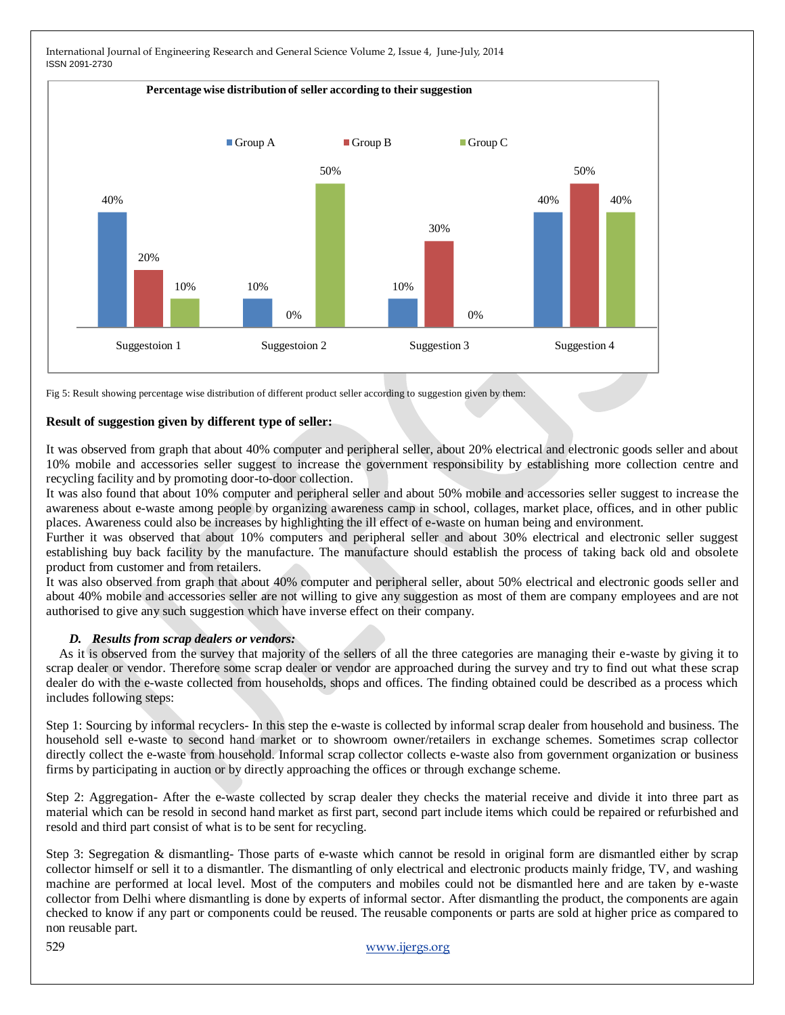

Fig 5: Result showing percentage wise distribution of different product seller according to suggestion given by them:

#### **Result of suggestion given by different type of seller:**

It was observed from graph that about 40% computer and peripheral seller, about 20% electrical and electronic goods seller and about 10% mobile and accessories seller suggest to increase the government responsibility by establishing more collection centre and recycling facility and by promoting door-to-door collection.

It was also found that about 10% computer and peripheral seller and about 50% mobile and accessories seller suggest to increase the awareness about e-waste among people by organizing awareness camp in school, collages, market place, offices, and in other public places. Awareness could also be increases by highlighting the ill effect of e-waste on human being and environment.

Further it was observed that about 10% computers and peripheral seller and about 30% electrical and electronic seller suggest establishing buy back facility by the manufacture. The manufacture should establish the process of taking back old and obsolete product from customer and from retailers.

It was also observed from graph that about 40% computer and peripheral seller, about 50% electrical and electronic goods seller and about 40% mobile and accessories seller are not willing to give any suggestion as most of them are company employees and are not authorised to give any such suggestion which have inverse effect on their company.

#### *D. Results from scrap dealers or vendors:*

As it is observed from the survey that majority of the sellers of all the three categories are managing their e-waste by giving it to scrap dealer or vendor. Therefore some scrap dealer or vendor are approached during the survey and try to find out what these scrap dealer do with the e-waste collected from households, shops and offices. The finding obtained could be described as a process which includes following steps:

Step 1: Sourcing by informal recyclers- In this step the e-waste is collected by informal scrap dealer from household and business. The household sell e-waste to second hand market or to showroom owner/retailers in exchange schemes. Sometimes scrap collector directly collect the e-waste from household. Informal scrap collector collects e-waste also from government organization or business firms by participating in auction or by directly approaching the offices or through exchange scheme.

Step 2: Aggregation- After the e-waste collected by scrap dealer they checks the material receive and divide it into three part as material which can be resold in second hand market as first part, second part include items which could be repaired or refurbished and resold and third part consist of what is to be sent for recycling.

Step 3: Segregation & dismantling- Those parts of e-waste which cannot be resold in original form are dismantled either by scrap collector himself or sell it to a dismantler. The dismantling of only electrical and electronic products mainly fridge, TV, and washing machine are performed at local level. Most of the computers and mobiles could not be dismantled here and are taken by e-waste collector from Delhi where dismantling is done by experts of informal sector. After dismantling the product, the components are again checked to know if any part or components could be reused. The reusable components or parts are sold at higher price as compared to non reusable part.

529 [www.ijergs.org](http://www.ijergs.org/)